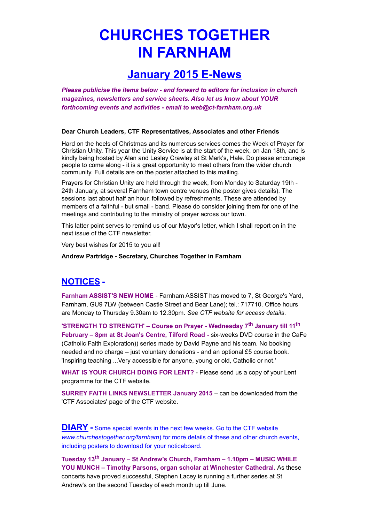# **CHURCHES TOGETHER IN FARNHAM**

## **January 2015 E-News**

*Please publicise the items below - and forward to editors for inclusion in church magazines, newsletters and service sheets. Also let us know about YOUR forthcoming events and activities - email to web@ct-farnham.org.uk*

#### **Dear Church Leaders, CTF Representatives, Associates and other Friends**

Hard on the heels of Christmas and its numerous services comes the Week of Prayer for Christian Unity. This year the Unity Service is at the start of the week, on Jan 18th, and is kindly being hosted by Alan and Lesley Crawley at St Mark's, Hale. Do please encourage people to come along - it is a great opportunity to meet others from the wider church community. Full details are on the poster attached to this mailing.

Prayers for Christian Unity are held through the week, from Monday to Saturday 19th - 24th January, at several Farnham town centre venues (the poster gives details). The sessions last about half an hour, followed by refreshments. These are attended by members of a faithful - but small - band. Please do consider joining them for one of the meetings and contributing to the ministry of prayer across our town.

This latter point serves to remind us of our Mayor's letter, which I shall report on in the next issue of the CTF newsletter.

Very best wishes for 2015 to you all!

#### **Andrew Partridge - Secretary, Churches Together in Farnham**

### **NOTICES -**

**Farnham ASSIST'S NEW HOME** - Farnham ASSIST has moved to 7, St George's Yard, Farnham, GU9 7LW (between Castle Street and Bear Lane); tel.: 717710. Office hours are Monday to Thursday 9.30am to 12.30pm. *See CTF website for access details*.

**'STRENGTH TO STRENGTH' – Course on Prayer - Wednesday 7th January till 11th February – 8pm at St Joan's Centre, Tilford Road -** six-weeks DVD course in the CaFe (Catholic Faith Exploration)) series made by David Payne and his team. No booking needed and no charge – just voluntary donations - and an optional £5 course book. 'Inspiring teaching ...Very accessible for anyone, young or old, Catholic or not.'

**WHAT IS YOUR CHURCH DOING FOR LENT?** - Please send us a copy of your Lent programme for the CTF website.

**SURREY FAITH LINKS NEWSLETTER January 2015** – can be downloaded from the 'CTF Associates' page of the CTF website.

**DIARY -** Some special events in the next few weeks. Go to the CTF website *[www.churchestogether.org/farnham](http://www.churchestogether.org/farnham)*) for more details of these and other church events, including posters to download for your noticeboard.

**Tuesday 13th January** *–* **St Andrew's Church, Farnham – 1.10pm – MUSIC WHILE YOU MUNCH – Timothy Parsons, organ scholar at Winchester Cathedral.** As these concerts have proved successful, Stephen Lacey is running a further series at St Andrew's on the second Tuesday of each month up till June.